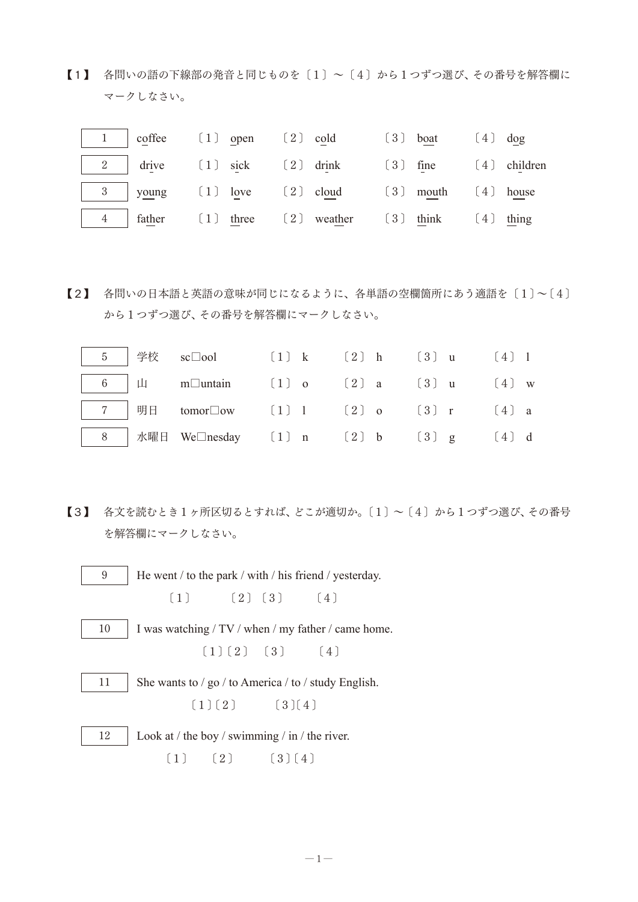【1】 各問いの語の下線部の発音と同じものを〔1〕~〔4〕から1つずつ選び、その番号を解答欄に マークしなさい。

|  |  |  | 2 drive [1] sick [2] drink [3] fine [4] children                                                                                                                                                                                                                    |  |  |
|--|--|--|---------------------------------------------------------------------------------------------------------------------------------------------------------------------------------------------------------------------------------------------------------------------|--|--|
|  |  |  |                                                                                                                                                                                                                                                                     |  |  |
|  |  |  | $\begin{vmatrix} 4 & \text{father} \\ 1 & \text{three} \end{vmatrix}$ at the contract the contract term contract the contract term contract term contract term contract term contract term contract term contract term contract term contract term contract term co |  |  |

【2】 各問いの日本語と英語の意味が同じになるように、各単語の空欄箇所にあう適語を〔1〕~〔4〕 から1つずつ選び、その番号を解答欄にマークしなさい。

|  | $\boxed{5}$ 学校 sc□ool (1) k (2) h (3) u (4) 1                                                                                                                                                                                                                  |  |  |  |  |
|--|----------------------------------------------------------------------------------------------------------------------------------------------------------------------------------------------------------------------------------------------------------------|--|--|--|--|
|  | 6   $\mu$ m $\Box$ untain (1) o (2) a (3) u (4) w                                                                                                                                                                                                              |  |  |  |  |
|  | 7   明日 tomor□ow 〔1〕 1 〔2〕 o 〔3〕 r 〔4〕 a                                                                                                                                                                                                                        |  |  |  |  |
|  | <b>b</b> $\begin{array}{ c c c c c c } \hline 8 & \multicolumn{1}{ c }{R} & \multicolumn{1}{ c }{M} \\ \hline \hline \end{array}$ ★曜日 We $\Box$ nesday $\begin{array}{ c c c c c } \hline \end{array}$ (2) b $\begin{array}{ c c c } \hline \end{array}$ (4) d |  |  |  |  |

【3】 各文を読むとき1ヶ所区切るとすれば、どこが適切か。〔1〕~〔4〕から1つずつ選び、その番号 を解答欄にマークしなさい。

 $-1-$ 

9 He went / to the park / with / his friend / yesterday. 〔1〕 〔2〕〔3〕 〔4〕 10 I was watching / TV / when / my father / came home. 〔1〕〔2〕 〔3〕 〔4〕 11 She wants to / go / to America / to / study English.  $(1)(2)$   $(3)(4)$ 12  $\vert$  Look at / the boy / swimming / in / the river.  $(1)$   $(2)$   $(3)(4)$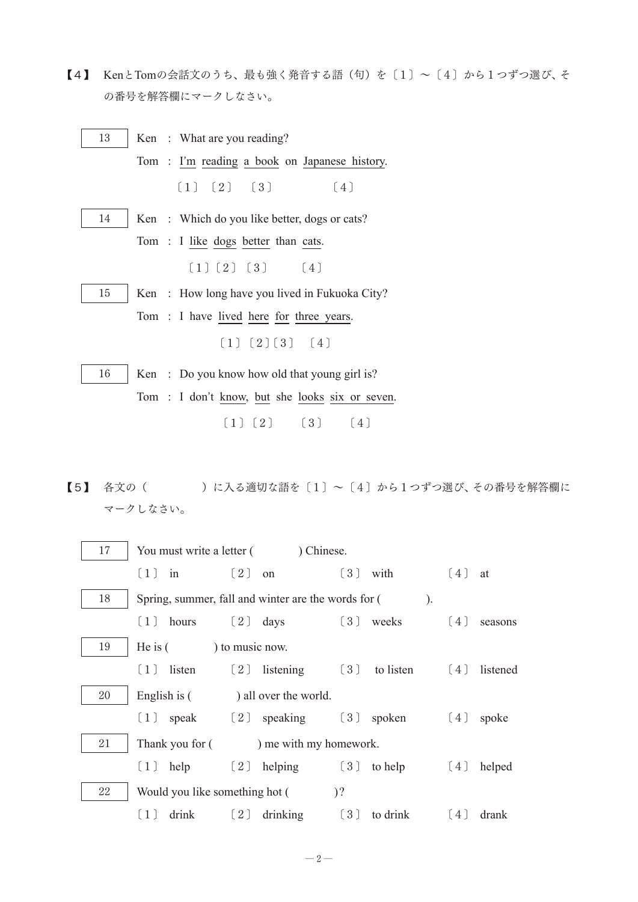【4】 KenとTomの会話文のうち、最も強く発音する語(句)を $(1) \sim (4)$ から1つずつ選び、そ の番号を解答欄にマークしなさい。

| 13 | Ken: What are you reading?                     |  |  |  |  |  |  |  |
|----|------------------------------------------------|--|--|--|--|--|--|--|
|    | Tom: I'm reading a book on Japanese history.   |  |  |  |  |  |  |  |
|    | (1) (2) (3) (4)                                |  |  |  |  |  |  |  |
| 14 | Ken: Which do you like better, dogs or cats?   |  |  |  |  |  |  |  |
|    | Tom: I like dogs better than cats.             |  |  |  |  |  |  |  |
|    | $[1] [2] [3]$ $[4]$                            |  |  |  |  |  |  |  |
| 15 | Ken: How long have you lived in Fukuoka City?  |  |  |  |  |  |  |  |
|    | Tom: I have lived here for three years.        |  |  |  |  |  |  |  |
|    | $(1)$ $(2)$ $(3)$ $(4)$                        |  |  |  |  |  |  |  |
| 16 | Ken: Do you know how old that young girl is?   |  |  |  |  |  |  |  |
|    | Tom: I don't know, but she looks six or seven. |  |  |  |  |  |  |  |
|    | [1] [2] [3] [4]                                |  |  |  |  |  |  |  |

【5】 各文の()の入る適切な語を〔1〕~〔4〕から1つずつ選び、その番号を解答欄に マークしなさい。

| 17 | You must write a letter () Chinese. |                                                     |                       |         |              |  |  |
|----|-------------------------------------|-----------------------------------------------------|-----------------------|---------|--------------|--|--|
|    | $(1)$ in                            | $\left( 2\right)$ on                                | $\left[3\right]$ with | (4)     | at           |  |  |
| 18 |                                     | Spring, summer, fall and winter are the words for ( |                       | $\cdot$ |              |  |  |
|    |                                     | $(1)$ hours $(2)$ days $(3)$ weeks                  |                       | (4)     | seasons      |  |  |
| 19 | He is $($ $)$ to music now.         |                                                     |                       |         |              |  |  |
|    | $\left(1\right)$ listen             | $(2)$ listening $(3)$ to listen                     |                       |         | [4] listened |  |  |
| 20 |                                     | English is () all over the world.                   |                       |         |              |  |  |
|    |                                     | $(1)$ speak $(2)$ speaking $(3)$ spoken             |                       | (4)     | spoke        |  |  |
| 21 |                                     | Thank you for () me with my homework.               |                       |         |              |  |  |
|    | (1)<br>help                         | $(2)$ helping $(3)$ to help                         |                       | (4)     | helped       |  |  |
| 22 | Would you like something hot (      | $\sqrt{2}$                                          |                       |         |              |  |  |
|    | [1]<br>drink                        | $\left[2\right]$ drinking $\left[3\right]$ to drink |                       | (4)     | drank        |  |  |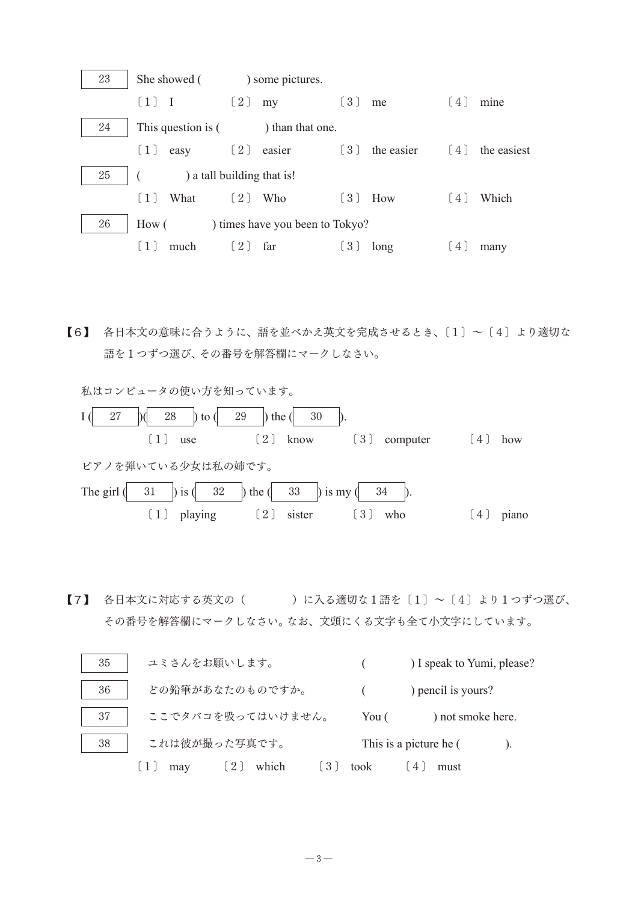

【6】 各日本文の意味に合うように、語を並べかえ英文を完成させるとき、〔1〕~〔4〕より適切な 語を1つずつ選び、その番号を解答欄にマークしなさい。

私はコンピュータの使い方を知っています。  $I \nvert \begin{array}{c} 27 \\ 28 \end{array}$  | to ( 29 ) the ( 30  $(1)$  use  $(2)$  know  $(3)$  computer  $(4)$  how ピアノを弾いている少女は私の姉です。 The girl  $\begin{pmatrix} 31 & 1 \end{pmatrix}$  is  $\begin{pmatrix} 32 & 1 \end{pmatrix}$  the  $\begin{pmatrix} 33 & 1 \end{pmatrix}$  is my  $\begin{pmatrix} 34 & 1 \end{pmatrix}$ . 〔1〕 playing 〔2〕 sister 〔3〕 who 〔4〕 piano

 $\llbracket 7 \rrbracket$  各日本文に対応する英文の( )に入る適切な1語を〔1〕~〔4〕より1つずつ選び、 その番号を解答欄にマークしなさい。なお、文頭にくる文字も全て小文字にしています。

| 35 | ユミさんをお願いします。                        |       | ) I speak to Yumi, please? |
|----|-------------------------------------|-------|----------------------------|
| 36 | どの鉛筆があなたのものですか。                     |       | ) pencil is yours?         |
| 37 | ここでタバコを吸ってはいけません。                   | You ( | ) not smoke here.          |
| 38 | これは彼が撮った写真です。                       |       | This is a picture he (     |
|    | which<br>$\lfloor 2 \rfloor$<br>may | took  | must                       |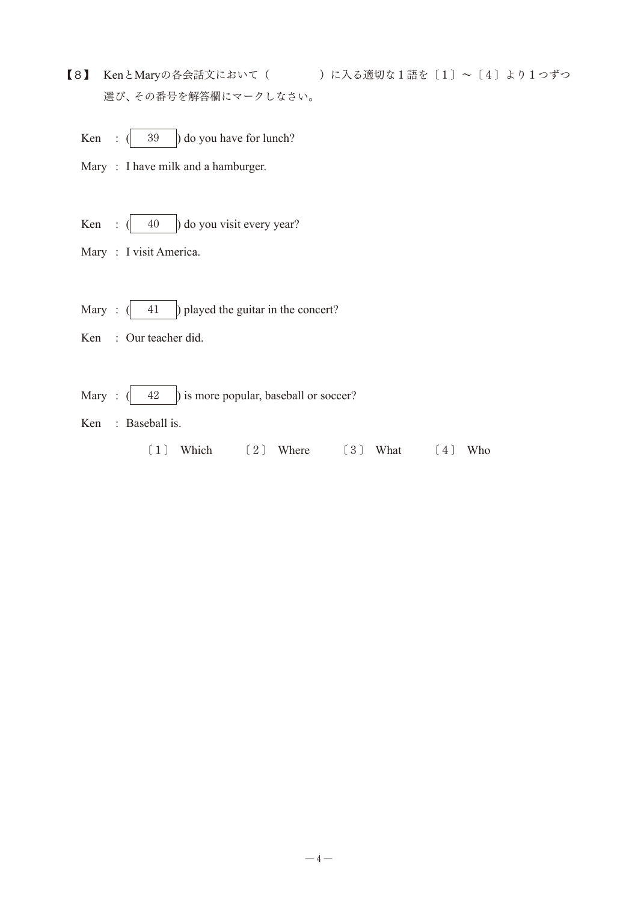【8】 KenとMaryの各会話文において( )に入る適切な1語を〔1〕~〔4〕より1つずつ 選び、その番号を解答欄にマークしなさい。

Ken :  $\begin{pmatrix} 39 \end{pmatrix}$  do you have for lunch?

Mary : I have milk and a hamburger.

- Ken :  $\begin{pmatrix} 40 \\ 0 \end{pmatrix}$  do you visit every year?
- Mary : I visit America.
- Mary :  $\begin{pmatrix} 41 \\ 9 \end{pmatrix}$  played the guitar in the concert?
- Ken : Our teacher did.
- Mary :  $\left(\frac{42}{ } \right)$  is more popular, baseball or soccer?
- Ken : Baseball is.
	- 〔1〕 Which 〔2〕 Where 〔3〕 What 〔4〕 Who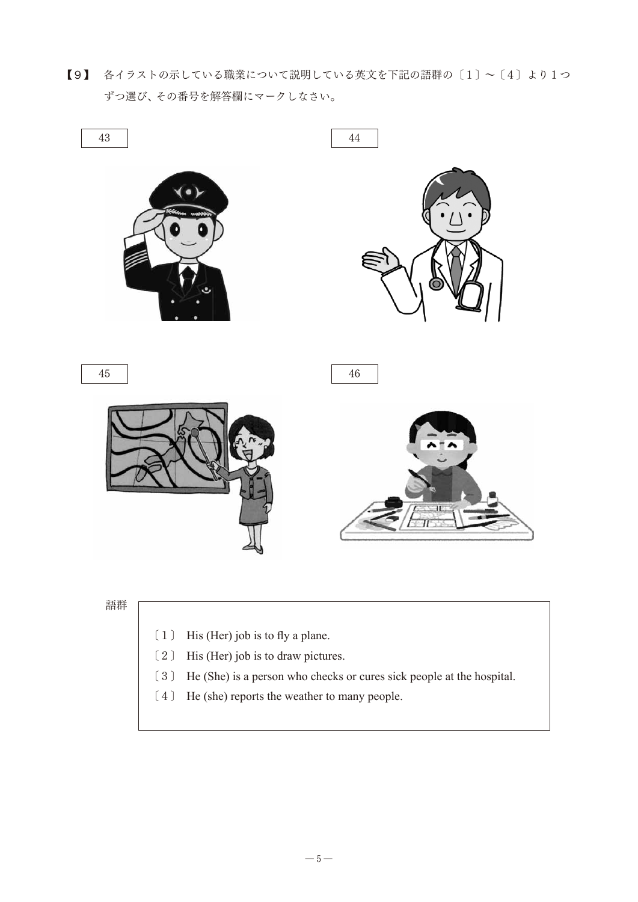【9】 各イラストの示している職業について説明している英文を下記の語群の〔1〕~〔4〕より1つ ずつ選び、その番号を解答欄にマークしなさい。



- 〔2〕 His (Her) job is to draw pictures.
- 〔3〕 He (She) is a person who checks or cures sick people at the hospital.
- 〔4〕 He (she) reports the weather to many people.